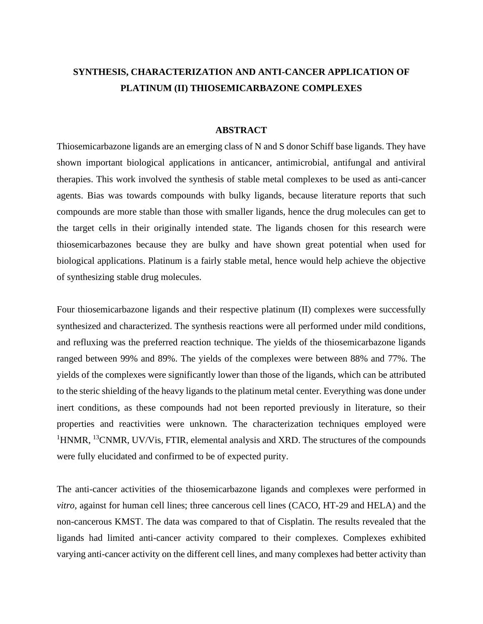## **SYNTHESIS, CHARACTERIZATION AND ANTI-CANCER APPLICATION OF PLATINUM (II) THIOSEMICARBAZONE COMPLEXES**

## **ABSTRACT**

Thiosemicarbazone ligands are an emerging class of N and S donor Schiff base ligands. They have shown important biological applications in anticancer, antimicrobial, antifungal and antiviral therapies. This work involved the synthesis of stable metal complexes to be used as anti-cancer agents. Bias was towards compounds with bulky ligands, because literature reports that such compounds are more stable than those with smaller ligands, hence the drug molecules can get to the target cells in their originally intended state. The ligands chosen for this research were thiosemicarbazones because they are bulky and have shown great potential when used for biological applications. Platinum is a fairly stable metal, hence would help achieve the objective of synthesizing stable drug molecules.

Four thiosemicarbazone ligands and their respective platinum (II) complexes were successfully synthesized and characterized. The synthesis reactions were all performed under mild conditions, and refluxing was the preferred reaction technique. The yields of the thiosemicarbazone ligands ranged between 99% and 89%. The yields of the complexes were between 88% and 77%. The yields of the complexes were significantly lower than those of the ligands, which can be attributed to the steric shielding of the heavy ligands to the platinum metal center. Everything was done under inert conditions, as these compounds had not been reported previously in literature, so their properties and reactivities were unknown. The characterization techniques employed were <sup>1</sup>HNMR, <sup>13</sup>CNMR, UV/Vis, FTIR, elemental analysis and XRD. The structures of the compounds were fully elucidated and confirmed to be of expected purity.

The anti-cancer activities of the thiosemicarbazone ligands and complexes were performed in *vitro*, against for human cell lines; three cancerous cell lines (CACO, HT-29 and HELA) and the non-cancerous KMST. The data was compared to that of Cisplatin. The results revealed that the ligands had limited anti-cancer activity compared to their complexes. Complexes exhibited varying anti-cancer activity on the different cell lines, and many complexes had better activity than